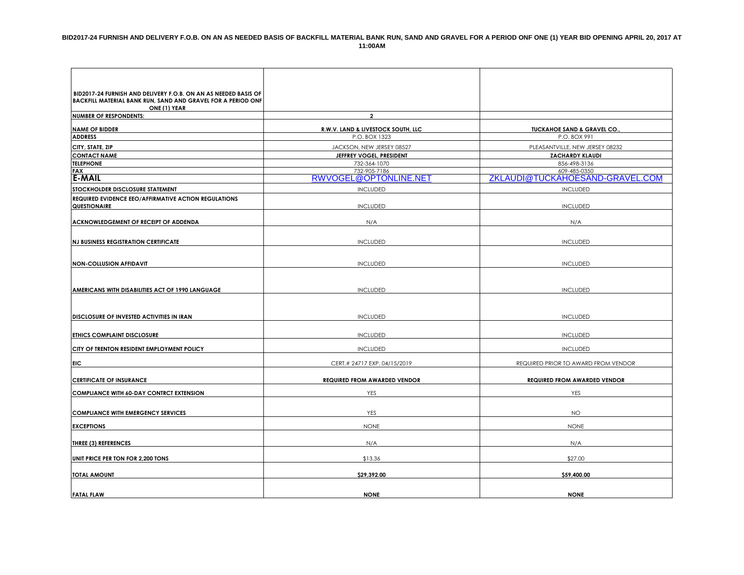| BID2017-24 FURNISH AND DELIVERY F.O.B. ON AN AS NEEDED BASIS OF              |                                     |                                       |
|------------------------------------------------------------------------------|-------------------------------------|---------------------------------------|
| BACKFILL MATERIAL BANK RUN, SAND AND GRAVEL FOR A PERIOD ONF<br>ONE (1) YEAR |                                     |                                       |
| <b>NUMBER OF RESPONDENTS:</b>                                                | $\mathbf{2}$                        |                                       |
| <b>NAME OF BIDDER</b>                                                        | R.W.V. LAND & LIVESTOCK SOUTH, LLC  | <b>TUCKAHOE SAND &amp; GRAVEL CO.</b> |
| <b>ADDRESS</b>                                                               | P.O. BOX 1323                       | P.O. BOX 991                          |
| CITY, STATE, ZIP                                                             | JACKSON, NEW JERSEY 08527           | PLEASANTVILLE, NEW JERSEY 08232       |
| <b>CONTACT NAME</b>                                                          | JEFFREY VOGEL, PRESIDENT            | <b>ZACHARDY KLAUDI</b>                |
| <b>TELEPHONE</b>                                                             | 732-364-1070                        | 856-498-3136                          |
| <b>FAX</b>                                                                   | 732-905-7186                        | 609-485-0350                          |
| <b>E-MAIL</b>                                                                | RWVOGEL@OPTONLINE.NET               | ZKLAUDI@TUCKAHOESAND-GRAVEL.COM       |
| STOCKHOLDER DISCLOSURE STATEMENT                                             | <b>INCLUDED</b>                     | <b>INCLUDED</b>                       |
| REQUIRED EVIDENCE EEO/AFFIRMATIVE ACTION REGULATIONS                         |                                     |                                       |
| QUESTIONAIRE                                                                 | <b>INCLUDED</b>                     | <b>INCLUDED</b>                       |
| ACKNOWLEDGEMENT OF RECEIPT OF ADDENDA                                        | N/A                                 | N/A                                   |
|                                                                              |                                     |                                       |
|                                                                              |                                     |                                       |
| <b>NJ BUSINESS REGISTRATION CERTIFICATE</b>                                  | <b>INCLUDED</b>                     | <b>INCLUDED</b>                       |
|                                                                              |                                     |                                       |
| <b>NON-COLLUSION AFFIDAVIT</b>                                               | <b>INCLUDED</b>                     | <b>INCLUDED</b>                       |
|                                                                              |                                     |                                       |
|                                                                              |                                     |                                       |
| AMERICANS WITH DISABILITIES ACT OF 1990 LANGUAGE                             | <b>INCLUDED</b>                     | <b>INCLUDED</b>                       |
|                                                                              |                                     |                                       |
| DISCLOSURE OF INVESTED ACTIVITIES IN IRAN                                    | <b>INCLUDED</b>                     | <b>INCLUDED</b>                       |
|                                                                              |                                     |                                       |
| <b>ETHICS COMPLAINT DISCLOSURE</b>                                           | <b>INCLUDED</b>                     | <b>INCLUDED</b>                       |
| CITY OF TRENTON RESIDENT EMPLOYMENT POLICY                                   | <b>INCLUDED</b>                     | <b>INCLUDED</b>                       |
| EIC                                                                          | CERT.# 24717 EXP. 04/15/2019        | REQUIRED PRIOR TO AWARD FROM VENDOR   |
|                                                                              |                                     |                                       |
| <b>CERTIFICATE OF INSURANCE</b>                                              | <b>REQUIRED FROM AWARDED VENDOR</b> | <b>REQUIRED FROM AWARDED VENDOR</b>   |
| <b>COMPLIANCE WITH 60-DAY CONTRCT EXTENSION</b>                              | YES                                 | YES                                   |
|                                                                              |                                     |                                       |
| <b>COMPLIANCE WITH EMERGENCY SERVICES</b>                                    | YES                                 | <b>NO</b>                             |
|                                                                              |                                     |                                       |
| <b>EXCEPTIONS</b>                                                            | <b>NONE</b>                         | <b>NONE</b>                           |
| <b>THREE (3) REFERENCES</b>                                                  | N/A                                 | N/A                                   |
| UNIT PRICE PER TON FOR 2,200 TONS                                            | \$13.36                             | \$27.00                               |
|                                                                              |                                     |                                       |
| <b>TOTAL AMOUNT</b>                                                          | \$29,392.00                         | \$59,400.00                           |
|                                                                              |                                     |                                       |
| <b>FATAL FLAW</b>                                                            | <b>NONE</b>                         | <b>NONE</b>                           |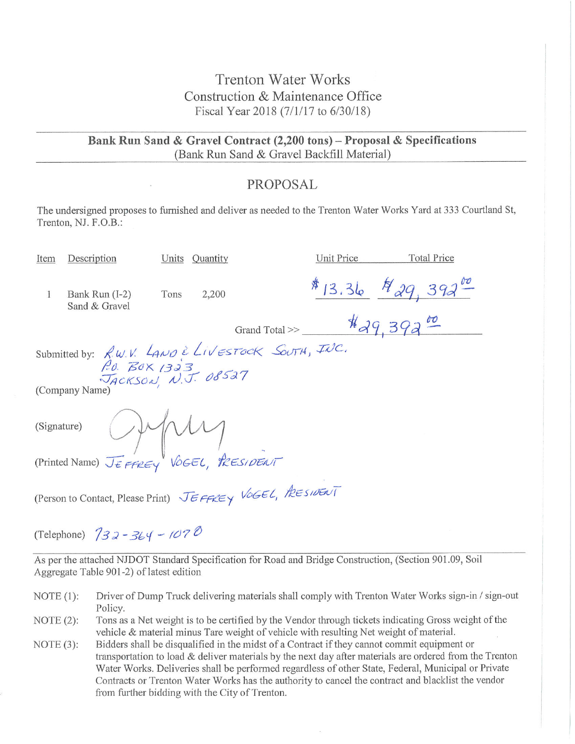## **Trenton Water Works** Construction & Maintenance Office Fiscal Year 2018 (7/1/17 to 6/30/18)

Bank Run Sand & Gravel Contract (2,200 tons) - Proposal & Specifications (Bank Run Sand & Gravel Backfill Material)

### PROPOSAL

The undersigned proposes to furnished and deliver as needed to the Trenton Water Works Yard at 333 Courtland St, Trenton, NJ. F.O.B.:

| Item                                                                                                                                                                                                                                                                                                                                                                                                                                                                                                                                       | Description                     |      | Units Quantity |                                                    | Unit Price | <b>Total Price</b>                          |  |
|--------------------------------------------------------------------------------------------------------------------------------------------------------------------------------------------------------------------------------------------------------------------------------------------------------------------------------------------------------------------------------------------------------------------------------------------------------------------------------------------------------------------------------------------|---------------------------------|------|----------------|----------------------------------------------------|------------|---------------------------------------------|--|
| 1                                                                                                                                                                                                                                                                                                                                                                                                                                                                                                                                          | Bank Run (I-2)<br>Sand & Gravel | Tons | 2,200          |                                                    |            | \$13.36 $\frac{1}{4}$ 29, 392 <sup>00</sup> |  |
|                                                                                                                                                                                                                                                                                                                                                                                                                                                                                                                                            |                                 |      |                | Grand Total >> $\frac{\frac{1}{4}q}{\frac{9}{5}q}$ |            |                                             |  |
| Submitted by: $R$ W.V. $L_{AVO}$ è Livestock South, INC.<br>P.O. BOX 1323<br>JACKSON, N.J. 08527                                                                                                                                                                                                                                                                                                                                                                                                                                           |                                 |      |                |                                                    |            |                                             |  |
|                                                                                                                                                                                                                                                                                                                                                                                                                                                                                                                                            |                                 |      |                |                                                    |            |                                             |  |
| (Company Name)                                                                                                                                                                                                                                                                                                                                                                                                                                                                                                                             |                                 |      |                |                                                    |            |                                             |  |
| (Signature) $\bigcup_{\forall x} \bigwedge_{\forall y} \bigwedge_{\forall y} \bigwedge_{\forall z} \bigwedge_{\forall z} \bigwedge_{\forall z} \bigwedge_{\forall z} \bigwedge_{\forall z} \bigwedge_{\forall z} \bigwedge_{\forall z} \bigwedge_{\forall z} \bigwedge_{\forall z} \bigwedge_{\forall z} \bigwedge_{\forall z} \bigwedge_{\forall z} \bigwedge_{\forall z} \bigwedge_{\forall z} \bigwedge_{\forall z} \bigwedge_{\forall z} \bigwedge_{\forall z} \bigwedge_{\forall z} \bigwedge_{\forall z} \bigwedge_{\forall z} \big$ |                                 |      |                |                                                    |            |                                             |  |
|                                                                                                                                                                                                                                                                                                                                                                                                                                                                                                                                            |                                 |      |                |                                                    |            |                                             |  |
| (Person to Contact, Please Print) JEFFREY VOGEL, PRESIDENT                                                                                                                                                                                                                                                                                                                                                                                                                                                                                 |                                 |      |                |                                                    |            |                                             |  |
|                                                                                                                                                                                                                                                                                                                                                                                                                                                                                                                                            |                                 |      |                |                                                    |            |                                             |  |

(Telephone)  $732 - 364 - 1070$ 

As per the attached NJDOT Standard Specification for Road and Bridge Construction, (Section 901.09, Soil Aggregate Table 901-2) of latest edition

- NOTE  $(1)$ : Driver of Dump Truck delivering materials shall comply with Trenton Water Works sign-in / sign-out Policy.
- Tons as a Net weight is to be certified by the Vendor through tickets indicating Gross weight of the NOTE  $(2)$ : vehicle & material minus Tare weight of vehicle with resulting Net weight of material.
- Bidders shall be disqualified in the midst of a Contract if they cannot commit equipment or NOTE  $(3)$ : transportation to load  $\&$  deliver materials by the next day after materials are ordered from the Trenton Water Works. Deliveries shall be performed regardless of other State, Federal, Municipal or Private Contracts or Trenton Water Works has the authority to cancel the contract and blacklist the vendor from further bidding with the City of Trenton.